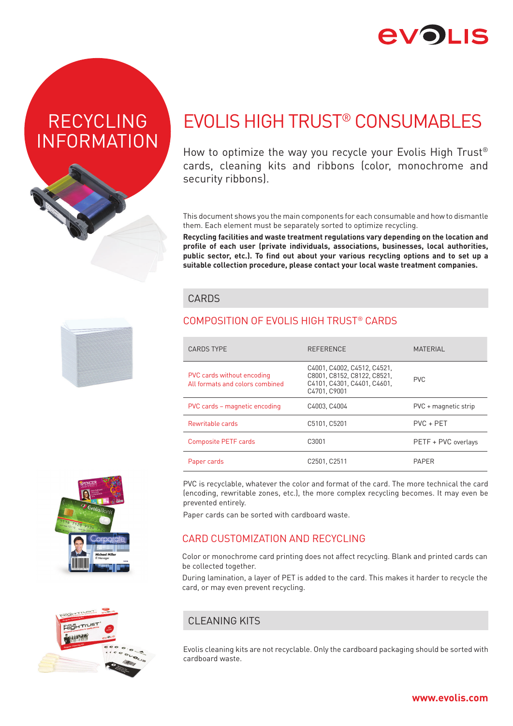# **2VOI IS**

# RECYCLING INFORMATION



# EVOLIS HIGH TRUST® CONSUMABLES

How to optimize the way you recycle your Evolis High Trust® cards, cleaning kits and ribbons (color, monochrome and security ribbons).

This document shows you the main components for each consumable and how to dismantle them. Each element must be separately sorted to optimize recycling.

**Recycling facilities and waste treatment regulations vary depending on the location and profile of each user (private individuals, associations, businesses, local authorities, public sector, etc.). To find out about your various recycling options and to set up a suitable collection procedure, please contact your local waste treatment companies.**

### **CARDS**

## COMPOSITION OF EVOLIS HIGH TRUST® CARDS

| <b>CARDS TYPE</b>                                             | <b>REFERENCE</b>                                                                                          | <b>MATERIAL</b>      |
|---------------------------------------------------------------|-----------------------------------------------------------------------------------------------------------|----------------------|
| PVC cards without encoding<br>All formats and colors combined | C4001, C4002, C4512, C4521,<br>C8001. C8152. C8122. C8521.<br>C4101. C4301. C4401. C4601.<br>C4701, C9001 | <b>PVC</b>           |
| PVC cards – magnetic encoding                                 | C4003, C4004                                                                                              | PVC + magnetic strip |
| Rewritable cards                                              | C5101, C5201                                                                                              | $PVC + PET$          |
| <b>Composite PETF cards</b>                                   | C3001                                                                                                     | PETF + PVC overlays  |
| Paper cards                                                   | C2501. C2511                                                                                              | <b>PAPFR</b>         |

PVC is recyclable, whatever the color and format of the card. The more technical the card (encoding, rewritable zones, etc.), the more complex recycling becomes. It may even be prevented entirely.

Paper cards can be sorted with cardboard waste.

## CARD CUSTOMIZATION AND RECYCLING

Color or monochrome card printing does not affect recycling. Blank and printed cards can be collected together.

During lamination, a layer of PET is added to the card. This makes it harder to recycle the card, or may even prevent recycling.

## CLEANING KITS

Evolis cleaning kits are not recyclable. Only the cardboard packaging should be sorted with cardboard waste.





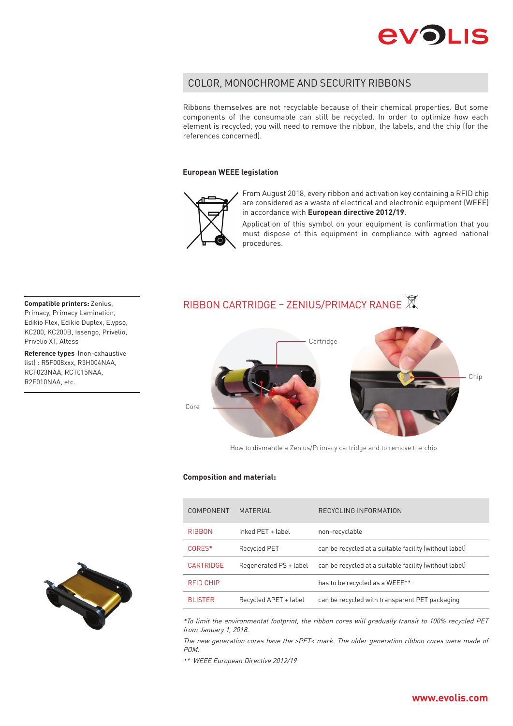

### COLOR, MONOCHROME AND SECURITY RIBBONS

Ribbons themselves are not recyclable because of their chemical properties. But some components of the consumable can still be recycled. In order to optimize how each element is recycled, you will need to remove the ribbon, the labels, and the chip (for the references concerned).

#### **European WEEE legislation**



From August 2018, every ribbon and activation key containing a RFID chip are considered as a waste of electrical and electronic equipment (WEEE) in accordance with **European directive 2012/19**.

Application of this symbol on your equipment is confirmation that you must dispose of this equipment in compliance with agreed national procedures.

## RIBBON CARTRIDGE – ZENIUS/PRIMACY RANGE



How to dismantle a Zenius/Primacy cartridge and to remove the chip

#### **Composition and material:**

| COMPONENT        | MATFRIAL               | RECYCLING INFORMATION                                  |
|------------------|------------------------|--------------------------------------------------------|
| <b>RIBBON</b>    | Inked PFT + label      | non-recyclable                                         |
| CORES*           | Recycled PET           | can be recycled at a suitable facility (without label) |
| <b>CARTRIDGE</b> | Regenerated PS + label | can be recycled at a suitable facility (without label) |
| <b>RFID CHIP</b> |                        | has to be recycled as a WEEE**                         |
| <b>BLISTER</b>   | Recycled APET + label  | can be recycled with transparent PET packaging         |

\*To limit the environmental footprint, the ribbon cores will gradually transit to 100% recycled PET from January 1, 2018.

The new generation cores have the >PET< mark. The older generation ribbon cores were made of POM.

\*\* WEEE European Directive 2012/19



Primacy, Primacy Lamination, Edikio Flex, Edikio Duplex, Elypso, KC200, KC200B, Issengo, Privelio, Privelio XT, Altess

**Reference types** (non-exhaustive list) : R5F008xxx, R5H004NAA, RCT023NAA, RCT015NAA, R2F010NAA, etc.



### **www.evolis.com**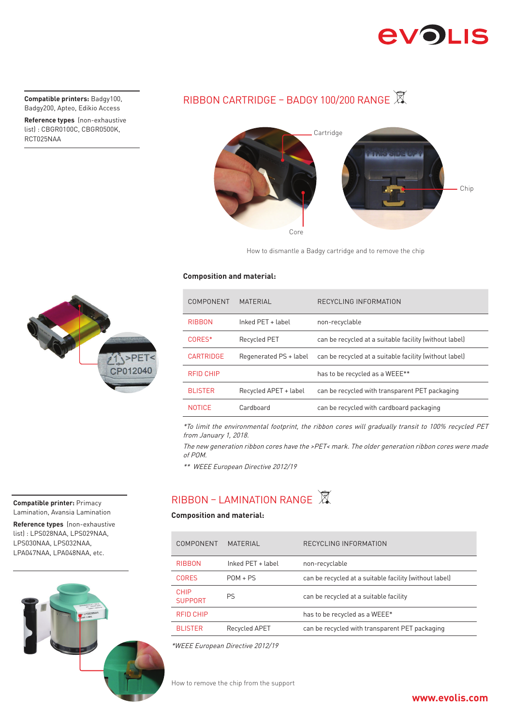# **EVOLIS**

Badgy200, Apteo, Edikio Access

**Reference types** (non-exhaustive list) : CBGR0100C, CBGR0500K, RCT025NAA

# **Compatible printers:** Badgy100, RIBBON CARTRIDGE – BADGY 100/200 RANGE X



How to dismantle a Badgy cartridge and to remove the chip

### **Composition and material:**

| COMPONENT        | <b>MATERIAL</b>        | RECYCLING INFORMATION                                  |
|------------------|------------------------|--------------------------------------------------------|
| <b>RIBBON</b>    | Inked PET + label      | non-recyclable                                         |
| CORES*           | Recycled PET           | can be recycled at a suitable facility (without label) |
| <b>CARTRIDGE</b> | Regenerated PS + label | can be recycled at a suitable facility (without label) |
| <b>RFID CHIP</b> |                        | has to be recycled as a WEEE**                         |
| <b>BLISTER</b>   | Recycled APET + label  | can be recycled with transparent PET packaging         |
| <b>NOTICE</b>    | Cardboard              | can be recycled with cardboard packaging               |

\*To limit the environmental footprint, the ribbon cores will gradually transit to 100% recycled PET from January 1, 2018.

The new generation ribbon cores have the >PET< mark. The older generation ribbon cores were made of POM.

\*\* WEEE European Directive 2012/19

# RIBBON – LAMINATION RANGE 风

### **Composition and material:**

| COMPONENT              | <b>MATFRIAL</b>   | RECYCLING INFORMATION                                  |
|------------------------|-------------------|--------------------------------------------------------|
| <b>RIBBON</b>          | Inked PET + label | non-recyclable                                         |
| CORFS                  | $POM + PS$        | can be recycled at a suitable facility (without label) |
| CHIP<br><b>SUPPORT</b> | PS                | can be recycled at a suitable facility                 |
| <b>REID CHIP</b>       |                   | has to be recycled as a WEEE*                          |
| <b>BLISTER</b>         | Recycled APET     | can be recycled with transparent PET packaging         |

\*WEEE European Directive 2012/19

How to remove the chip from the support



#### **Compatible printer:** Primacy Lamination, Avansia Lamination

**Reference types** (non-exhaustive list) : LPS028NAA, LPS029NAA, LPS030NAA, LPS032NAA, LPA047NAA, LPA048NAA, etc.